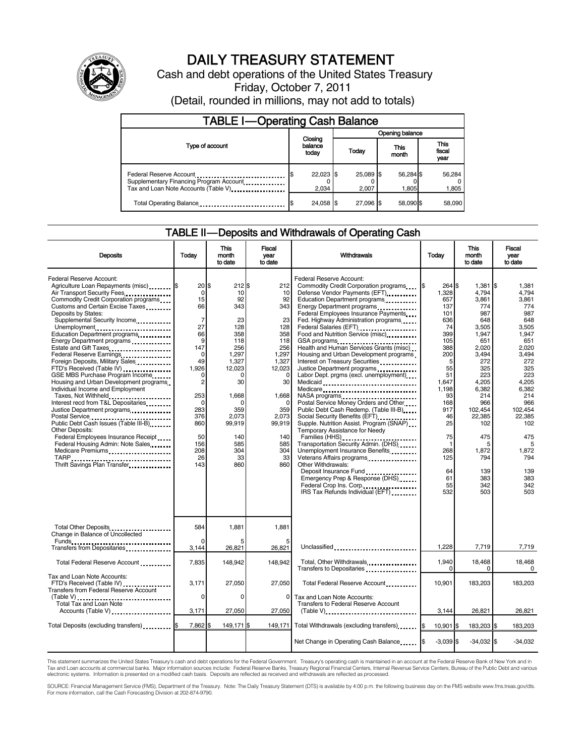

# DAILY TREASURY STATEMENT

Cash and debt operations of the United States Treasury Friday, October 7, 2011

(Detail, rounded in millions, may not add to totals)

| TABLE I-Operating Cash Balance                                                                             |                             |                    |                    |                 |  |  |  |
|------------------------------------------------------------------------------------------------------------|-----------------------------|--------------------|--------------------|-----------------|--|--|--|
|                                                                                                            |                             | Opening balance    |                    |                 |  |  |  |
| Type of account                                                                                            | Closing<br>balance<br>today | Today              | This<br>month      |                 |  |  |  |
| Federal Reserve Account<br>Supplementary Financing Program Account<br>Tax and Loan Note Accounts (Table V) | 22,023 \$<br>2.034          | 25.089 \$<br>2.007 | 56,284 \$<br>1.805 | 56,284<br>1,805 |  |  |  |
| Total Operating Balance                                                                                    | 24,058 \$                   | 27.096 \$          | 58.090 \$          | 58.090          |  |  |  |

#### TABLE II — Deposits and Withdrawals of Operating Cash

| <b>Deposits</b>                                                                                                                                                                                                                                                                                                                                                                                                                                                                                                                                                                                                                                                                                                                                                                                                                                                  | Today                                                                                                                                                                                                      | <b>This</b><br>month<br>to date                                                                                                                                                          | <b>Fiscal</b><br>vear<br>to date                                                                                                                                                           | Withdrawals                                                                                                                                                                                                                                                                                                                                                                                                                                                                                                                                                                                                                                                                                                                                                                                                                                                                                                                                                                                                          | Today                                                                                                                                                                                               | <b>This</b><br>month<br>to date                                                                                                                                                                                                  | <b>Fiscal</b><br>vear<br>to date                                                                                                                                                                                                        |
|------------------------------------------------------------------------------------------------------------------------------------------------------------------------------------------------------------------------------------------------------------------------------------------------------------------------------------------------------------------------------------------------------------------------------------------------------------------------------------------------------------------------------------------------------------------------------------------------------------------------------------------------------------------------------------------------------------------------------------------------------------------------------------------------------------------------------------------------------------------|------------------------------------------------------------------------------------------------------------------------------------------------------------------------------------------------------------|------------------------------------------------------------------------------------------------------------------------------------------------------------------------------------------|--------------------------------------------------------------------------------------------------------------------------------------------------------------------------------------------|----------------------------------------------------------------------------------------------------------------------------------------------------------------------------------------------------------------------------------------------------------------------------------------------------------------------------------------------------------------------------------------------------------------------------------------------------------------------------------------------------------------------------------------------------------------------------------------------------------------------------------------------------------------------------------------------------------------------------------------------------------------------------------------------------------------------------------------------------------------------------------------------------------------------------------------------------------------------------------------------------------------------|-----------------------------------------------------------------------------------------------------------------------------------------------------------------------------------------------------|----------------------------------------------------------------------------------------------------------------------------------------------------------------------------------------------------------------------------------|-----------------------------------------------------------------------------------------------------------------------------------------------------------------------------------------------------------------------------------------|
| Federal Reserve Account:<br>Agriculture Loan Repayments (misc) [\$<br>Air Transport Security Fees<br>Commodity Credit Corporation programs<br>Customs and Certain Excise Taxes<br>Deposits by States:<br>Supplemental Security Income<br>Unemployment<br>Education Department programs<br>Energy Department programs<br>Estate and Gift Taxes<br><br>Federal Reserve Earnings<br>Foreign Deposits, Military Sales<br>FTD's Received (Table IV)<br>GSE MBS Purchase Program Income<br>Housing and Urban Development programs<br>Individual Income and Employment<br>Taxes, Not Withheld<br>Interest recd from T&L Depositaries<br>Justice Department programs<br>Public Debt Cash Issues (Table III-B)<br><b>Other Deposits:</b><br>Federal Employees Insurance Receipt<br>Federal Housing Admin: Note Sales<br>Medicare Premiums<br>Thrift Savings Plan Transfer | $20$ \$<br>$\mathbf 0$<br>15<br>66<br>$\overline{7}$<br>27<br>66<br>9<br>147<br>$\mathbf 0$<br>49<br>1.926<br>0<br>$\overline{c}$<br>253<br>$\Omega$<br>283<br>376<br>860<br>50<br>156<br>208<br>26<br>143 | 212S<br>10<br>92<br>343<br>23<br>128<br>358<br>118<br>256<br>1,297<br>1,327<br>12,023<br>$\Omega$<br>30<br>1,668<br>$\Omega$<br>359<br>2,073<br>99,919<br>140<br>585<br>304<br>33<br>860 | 212<br>10<br>92<br>343<br>23<br>128<br>358<br>118<br>256<br>1,297<br>1,327<br>12,023<br>$\mathbf 0$<br>30<br>1,668<br>$\Omega$<br>359<br>2,073<br>99,919<br>140<br>585<br>304<br>33<br>860 | Federal Reserve Account:<br>Commodity Credit Corporation programs<br>Defense Vendor Payments (EFT)<br>Education Department programs<br>Energy Department programs<br>Federal Employees Insurance Payments<br>Fed. Highway Administration programs<br>Federal Salaries (EFT)<br>Federal Salaries (EFT)<br>Food and Nutrition Service (misc)<br>GSA programs<br>Health and Human Services Grants (misc)<br>Housing and Urban Development programs<br>Interest on Treasury Securities<br>Justice Department programs<br>Labor Dept. prgms (excl. unemployment)<br>Medicare<br>Postal Service Money Orders and Other<br>Public Debt Cash Redemp. (Table III-B)<br>Supple. Nutrition Assist. Program (SNAP)<br>Temporary Assistance for Needy<br>Families (HHS)<br>Transportation Security Admin. (DHS)<br>Unemployment Insurance Benefits<br>Veterans Affairs programs<br>Other Withdrawals:<br>Deposit Insurance Fund<br>Emergency Prep & Response (DHS)<br>Federal Crop Ins. Corp.<br>IRS Tax Refunds Individual (EFT) | 264 \$<br>1,328<br>657<br>137<br>101<br>636<br>74<br>399<br>105<br>388<br>200<br>5<br>55<br>51<br>1,647<br>1.198<br>93<br>168<br>917<br>46<br>25<br>75<br>-1<br>268<br>125<br>64<br>61<br>55<br>532 | 1,381<br>4,794<br>3,861<br>774<br>987<br>648<br>3,505<br>1,947<br>651<br>2,020<br>3,494<br>272<br>325<br>223<br>4,205<br>6,382<br>214<br>966<br>102,454<br>22,385<br>102<br>475<br>5<br>1,872<br>794<br>139<br>383<br>342<br>503 | I\$<br>1,381<br>4.794<br>3.861<br>774<br>987<br>648<br>3,505<br>1.947<br>651<br>2,020<br>3,494<br>272<br>325<br>223<br>4,205<br>6,382<br>214<br>966<br>102,454<br>22.385<br>102<br>475<br>5<br>1,872<br>794<br>139<br>383<br>342<br>503 |
| Total Other Deposits<br>Change in Balance of Uncollected                                                                                                                                                                                                                                                                                                                                                                                                                                                                                                                                                                                                                                                                                                                                                                                                         | 584                                                                                                                                                                                                        | 1,881                                                                                                                                                                                    | 1,881                                                                                                                                                                                      |                                                                                                                                                                                                                                                                                                                                                                                                                                                                                                                                                                                                                                                                                                                                                                                                                                                                                                                                                                                                                      |                                                                                                                                                                                                     |                                                                                                                                                                                                                                  |                                                                                                                                                                                                                                         |
| Funds<br>Transfers from Depositaries                                                                                                                                                                                                                                                                                                                                                                                                                                                                                                                                                                                                                                                                                                                                                                                                                             | 3,144                                                                                                                                                                                                      | 26,821                                                                                                                                                                                   | 26,821                                                                                                                                                                                     | Unclassified                                                                                                                                                                                                                                                                                                                                                                                                                                                                                                                                                                                                                                                                                                                                                                                                                                                                                                                                                                                                         | 1,228                                                                                                                                                                                               | 7,719                                                                                                                                                                                                                            | 7,719                                                                                                                                                                                                                                   |
| Total Federal Reserve Account                                                                                                                                                                                                                                                                                                                                                                                                                                                                                                                                                                                                                                                                                                                                                                                                                                    | 7,835                                                                                                                                                                                                      | 148.942                                                                                                                                                                                  | 148.942                                                                                                                                                                                    | Total, Other Withdrawals<br>Transfers to Depositaries                                                                                                                                                                                                                                                                                                                                                                                                                                                                                                                                                                                                                                                                                                                                                                                                                                                                                                                                                                | 1,940                                                                                                                                                                                               | 18,468<br>0                                                                                                                                                                                                                      | 18,468<br>$\Omega$                                                                                                                                                                                                                      |
| Tax and Loan Note Accounts:<br>FTD's Received (Table IV)<br><b>Transfers from Federal Reserve Account</b>                                                                                                                                                                                                                                                                                                                                                                                                                                                                                                                                                                                                                                                                                                                                                        | 3,171                                                                                                                                                                                                      | 27,050                                                                                                                                                                                   | 27,050                                                                                                                                                                                     | Total Federal Reserve Account                                                                                                                                                                                                                                                                                                                                                                                                                                                                                                                                                                                                                                                                                                                                                                                                                                                                                                                                                                                        | 10,901                                                                                                                                                                                              | 183,203                                                                                                                                                                                                                          | 183,203                                                                                                                                                                                                                                 |
| Total Tax and Loan Note<br>Accounts (Table V)                                                                                                                                                                                                                                                                                                                                                                                                                                                                                                                                                                                                                                                                                                                                                                                                                    | $\Omega$<br>3,171                                                                                                                                                                                          | $\Omega$<br>27,050                                                                                                                                                                       | 0<br>27,050                                                                                                                                                                                | Tax and Loan Note Accounts:<br><b>Transfers to Federal Reserve Account</b><br>$(Table V)$                                                                                                                                                                                                                                                                                                                                                                                                                                                                                                                                                                                                                                                                                                                                                                                                                                                                                                                            | 3,144                                                                                                                                                                                               | 26,821                                                                                                                                                                                                                           | 26,821                                                                                                                                                                                                                                  |
| Total Deposits (excluding transfers) <b>S</b>                                                                                                                                                                                                                                                                                                                                                                                                                                                                                                                                                                                                                                                                                                                                                                                                                    | 7,862 \$                                                                                                                                                                                                   | 149,171 \$                                                                                                                                                                               | 149,171                                                                                                                                                                                    | Total Withdrawals (excluding transfers)                                                                                                                                                                                                                                                                                                                                                                                                                                                                                                                                                                                                                                                                                                                                                                                                                                                                                                                                                                              | 10,901 \$                                                                                                                                                                                           | 183,203 \$                                                                                                                                                                                                                       | 183,203                                                                                                                                                                                                                                 |
|                                                                                                                                                                                                                                                                                                                                                                                                                                                                                                                                                                                                                                                                                                                                                                                                                                                                  |                                                                                                                                                                                                            |                                                                                                                                                                                          |                                                                                                                                                                                            | Net Change in Operating Cash Balance                                                                                                                                                                                                                                                                                                                                                                                                                                                                                                                                                                                                                                                                                                                                                                                                                                                                                                                                                                                 | $-3,039$ \$                                                                                                                                                                                         | $-34,032$ \$                                                                                                                                                                                                                     | $-34,032$                                                                                                                                                                                                                               |

This statement summarizes the United States Treasury's cash and debt operations for the Federal Government. Treasury's operating cash is maintained in an account at the Federal Reserve Bank of New York and in<br>Tax and Loan

SOURCE: Financial Management Service (FMS), Department of the Treasury. Note: The Daily Treasury Statement (DTS) is available by 4:00 p.m. the following business day on the FMS website www.fms.treas.gov/dts.<br>For more infor